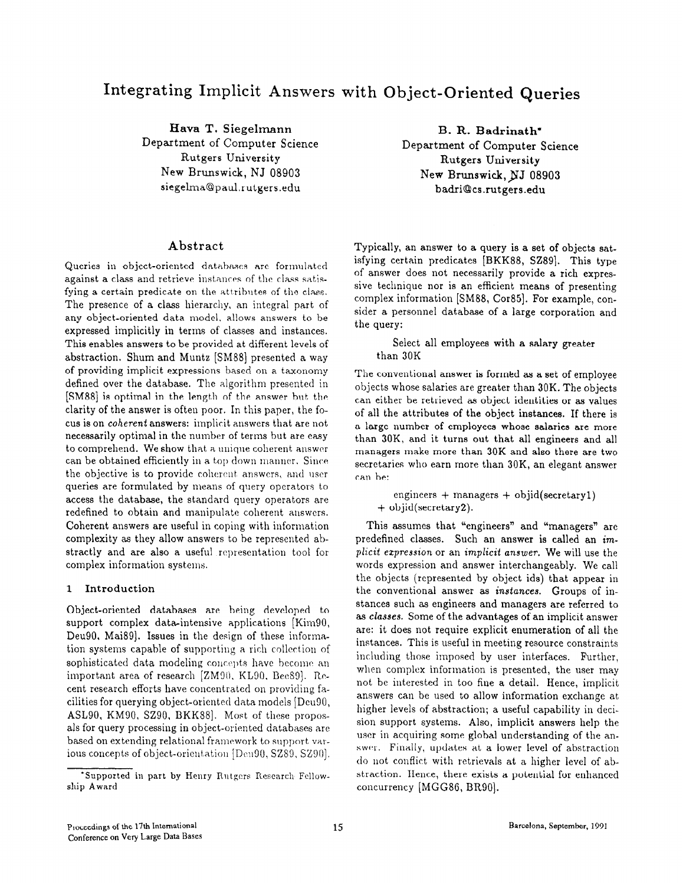# Integrating Implicit Answers with Object-Oriented Queries

Hava T. Siegelmann Department of Computer Science Rutgers University New Brunswick, NJ 08903 siegelma@paul.rutgers.edu

B. R. Badrinath' Department of Computer Science Rutgers University New Brunswick, NJ 08903 ba&iOcs.rutgers.edu

# Abstract

Queries in object-oriented databases are formulated against a class and retrieve instances of the class satisfying a certain predicate on the attributes of the class. The presence of a class hierarchy, an integral part of any object-oriented data model, allows answers to be expressed implicitly in terms of classes and instances. This enables answers to be provided at different levels of abstraction. Shum and Muntz [SM88] presented a way of providing implicit expressions based on a taxonomy defined over the database. The algorithm presented in [SM88] is optimal in the length of the answer but the clarity of the answer is often poor. In this paper, the focus is on coherent answers: implicit answers that are not necessarily optimal in the number of terms but are easy to comprehend. We show that a unique coherent answer can be obtained efficiently in a top down manner. Since the objective is to provide coherent answers, and user queries are formulated by means of query operators to access the database, the standard query operators are redefined to obtain and manipulate coherent answers. Coherent answers are useful in coping with information complexity as they allow answers to be represented abstractly and are also a useful representation tool for complex information systems.

#### 1 Introduction

Object-oriented databases are being developed to support complex data-intensive applications [Kim90, Deu90, Mai89]. Issues in the design of these information systems capable of supporting a rich collection of sophisticated data modeling concepts have become an important area of research [ZM90, KL90, Bee89]. Recent research efforts have concentrated on providing facilities for querying object-oriented data models [DcuSO, ASL90, KM90, SZ90, BKK88]. Most of these proposals for query processing in object-oriented databases are based on extending relational framework to support various concepts of object-orientation [Deu90, SZ89, SZ90]. Typically, an answer to a query is a set of objects satisfying certain predicates [BKK88, SZ89]. This type of answer does not necessarily provide a rich expressive technique nor is an efficient means of presenting complex information [SM88, Cor85]. For example, consider a personnel database of a large corporation and the query:

### Select all employees with a salary greater than 30K

The conventional answer is formed as a set of employee objects whose salaries are greater than 30K. The objects can either be retrieved as object identities or as values of all the attributes of the object instances. If there is a large number of employees whose salaries are more than 30K, and it turns out that all engineers and all managers make more than 30K and also there are two secretaries who earn more than 30K, an elegant answer can be:

engineers + managers + objid(secretary1) + objid(secretary2).

This assumes that "engineers" and "managers" are predefined classes. Such an answer is called an implicit ezpression or an implicit answer. We will use the words expression and answer interchangeably. We call the objects (represented by object ids) that appear in the conventional answer as instances. Groups of instances such as engineers and managers are referred to as classes. Some of the advantages of an implicit answer are: it does not require explicit enumeration of all the instances. This is useful in meeting resource constraints including those imposed by user interfaces. Further, when complex information is presented, the user may not be interested in too fine a detail. Hence, implicit answers can be used to allow information exchange at higher levels of abstraction; a useful capability in decision support systems. Also, implicit answers help the user in acquiring some global understanding of the answer. Finally, updates at a lower level of abstraction do not conflict with retrievals at a higher level of abstraction. Hence, there exists a potential for enhanced concurrency [MGG8G, BR90].

Supported in part by Henry Rutgers Research Fellowship Award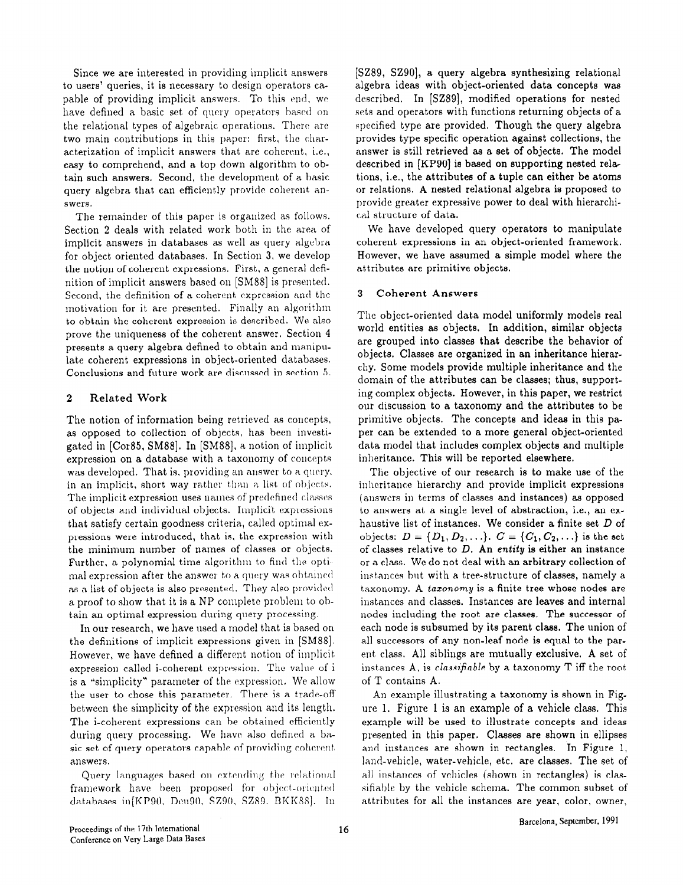Since we are interested in providing implicit answers to users' queries, it is necessary to design operators capable of providing implicit answers. To this end, we have defined a basic set of query operators based on the relational types of algebraic operations. There are two main contributions in this paper: first, the characterization of implicit answers that are coherent, i.e., easy to comprehend, and a top down algorithm to obtain such answers. Second, the development of a basic query algebra that can efficiently provide coherent answers.

The remainder of this paper is organized as follows. Section 2 deals with related work both in the area of implicit answers in databases as well as query algebra for object oriented databases. In Section 3, we develop the notion of coherent expressions. First, a general definition of implicit answers based on [SM88] is presented. Second, the definition of a coherent expression and the motivation for it are presented. Finally an algorithm to obtain the coherent expression is described. We also prove the uniqueness of the coherent answer. Section 4 presents a query algebra defined to obtain and manipulate coherent expressions in object-oriented databases. Conclusions and future work are discussed in section 5.

# 2 Related Work

The notion of information being retrieved as concepts, as opposed to collection of objects, has been investigated in [Cor85, SM88]. In [SM88], A notion of implicit expression on a database with a taxonomy of concepts was developed. That is, providing an answer to a query. in an implicit, short way rather than a list of objects. The implicit expression uses names of predefined classes of objects and individual objects. Implicit expressions that satisfy certain goodness criteria, called optimal cxpressions were introduced, that is, the expression with the minimum number of names of classes or objects. Further, a polynomial time algorithm to find the optimal expression after the answer to a query was obtained as a list of objects is also presented. They also provided a proof to show that it is a NP complete problem to obtain an optimal expression during query processing.

In our research, we have used a model that is based on the definitions of implicit expressions given in [SM88]. However, we have defined a different notion of implicit. expression called i-coherent expression. The value of i is a \*'simplicity" parameter of the expression. We allow the user to chose this parameter. There is a trade-off between the simplicity of the expression and its length. The i-coherent expressions can he obtained efficiently during query processing. We have also defined a basic set of query operators capable of providing coherent answers.

Query languages based on extending the relational framework have been proposed for object-oriented databases in $[KP90, Deu90, SZ90, SZ89, BKK88]$ . In

[SZ89, SZ90], a query algebra synthesizing relational algebra ideas with object-oriented data concepts was described. In [SZ89], modified operations for nested sets and operators with functions returning objects of a specified type are provided. Though the query algebra provides type specific operation against collections, the answer is still retrieved as a set of objects. The model described in [KP90] is based on supporting nested relations, i.e., the attributes of a tuple can either be atoms or relations. A nested relational algebra is proposed to provide greater expressive power to deal with hierarchical structure of data.

We have developed query operators to manipulate coherent expressions in an object-oriented framework. However, we have assumed a simple model where the attributes are primitive objects.

#### 3 Coherent Answers

The object-oriented data model uniformly models real world entities as objects. In addition, similar objects are grouped into classes that describe the behavior of objects. Classes are organized in an inheritance hierarchy. Some models provide multiple inheritance and the domain of the attributes can be classes; thus, supporting complex objects. However, in this paper, we restrict our discussion to a taxonomy and the attributes to be primitive objects. The concepts and ideas in this paper can be extended to a more general object-oriented data model that includes complex objects and multiple inheritance. This will be reported elsewhere.

The objective of our research is to make use of the inheritance hierarchy and provide implicit expressions (answers in terms of classes and instances) as opposed to answers at a single level of abstraction, i.e., an exhaustive list of instances. We consider a finite set D of objects:  $D = \{D_1, D_2, ...\}$ .  $C = \{C_1, C_2, ...\}$  is the set of classes relative to  $D$ . An entity is either an instance or a class. We do not deal with an arbitrary collection of instances but with a tree-structure of classes, namely a taxonomy. A taxonomy is a finite tree whose nodes are instances and classes. Instances are leaves and internal nodes including the root are classes. The successor of each node is subsumed by its parent class. The union of all successors of any non-leaf node is equal to the parent class. All siblings are mutually exclusive. A set of instances A, is *classifiable* by a taxonomy  $T$  iff the root of T contains A.

An example illustrating a taxonomy is shown in Figure 1. Figure 1 is an example of a vehicle class. This example will be used to illustrate concepts and ideas presented in this paper. Classes are shown in ellipses and instances are shown in rectangles. In Figure 1, land-vehicle, water-vehicle, etc. are classes. The set of all instances of vehicles (shown in rectangles) is classifiable by the vehicle schema. The common subset of attributes for all the instances are year, color, owner,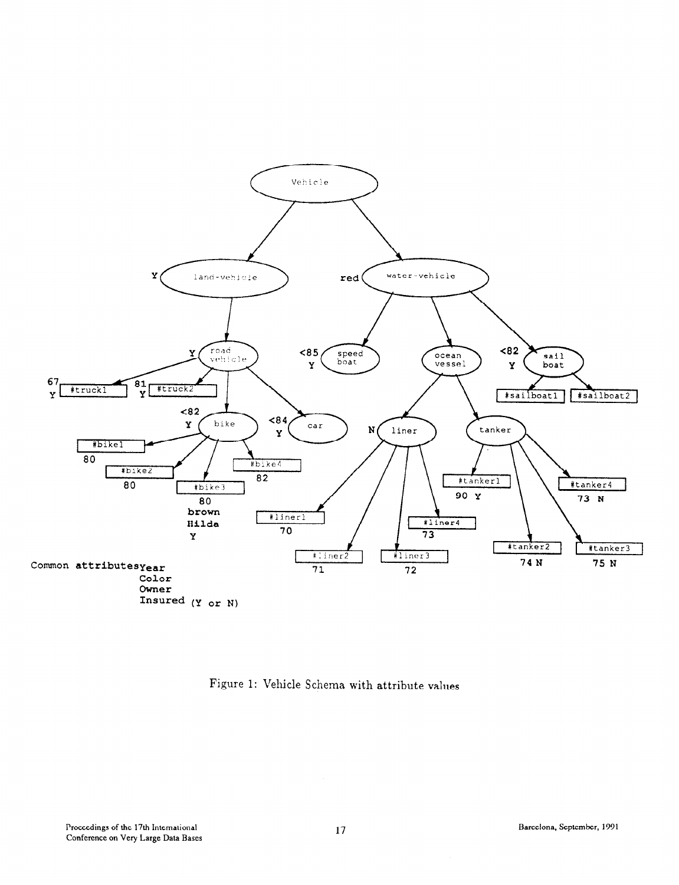

Figure 1: Vehicle Schema with attribute values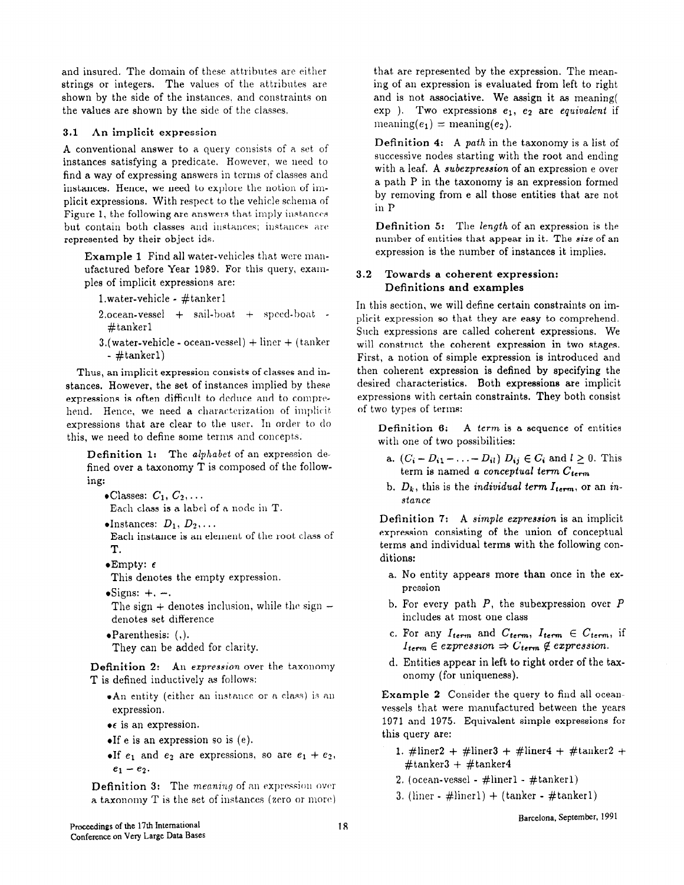and insured. The domain of these attributes arc either strings or integers. The values of the attributes are shown by the side of the instances, and constraints on the values are shown by the side of the classes,

# 3.1 An implicit expression

A conventional answer to a query consists of a set of instances satisfying a predicate. However, we uecd to find a way of expressing answers in terms of classes and instances. Hence, we need to explore the notion of implicit expressions. With respect to the vehicle schema of Figure 1, the following are answers that imply instances but contain both classes and instances; instances are represented by their object ids.

Example 1 Find all water-vehicles that were manufactured before Year 1989. For this query, examples of implicit expressions are:

- l.water-vehicle #tanker1
- 2,ocean-vessel + sail-boat + speed-boat #tanker1
- $3.$ (water-vehicle ocean-vessel) + liner + (tanker - #tankerl)

Thus, an implicit expression consists of classes and instances. However, the set of instances implied by these expressions is often difficult to deduce and to comprehend. Hence, we need a characterization of implicit expressions that are clear to the user. In order to do this, we need to define some terms and concepts.

Definition 1: The alphabet of an expression defined over a taxonomy T is composed of the following:

 $\bullet$ Classes:  $C_1, C_2, \ldots$ 

Each class is a label of a node in T.

 $\bullet$ Instances:  $D_1, D_2, \ldots$ 

Each instance is an element of the root class of T.

 $\bullet$ Empty:  $\epsilon$ 

This denotes the empty expression.

 $\bullet$ Signs:  $+$ ,  $-$ .

The sign  $+$  denotes inclusion, while the sign  $$ denotes set difference

 $\bullet$ Parenthesis:  $($ .). They can be added for clarity.

Definition 2: An expression over the taxonomy T is defined inductively as follows:

- $*An$  entity (either an instance or a class) is an expression.
- $\bullet \epsilon$  is an expression.
- $\bullet$ If e is an expression so is (e).
- $\bullet$ If  $e_1$  and  $e_2$  are expressions, so are  $e_1 + e_2$ ,  $e_1 - e_2.$

Definition 3: The meaning of an expression over a taxonomy  $T$  is the set of instances (zero or more) that are represented by the expression. The meaning of an expression is evaluated from left to right and is not associative. We assign it as meaning( exp ). Two expressions  $e_1$ ,  $e_2$  are equivalent if meaning $(e_1)$  = meaning $(e_2)$ .

Definition 4: A path in the taxonomy is a list of successive nodes starting with the root and ending with a leaf. A subezpression of an expression e over a path P in the taxonomy is an expression formed by removing from e all those entities that are not in P

Definition 5: The length of an expression is the number of entities that appear in it. The size of an expression is the number of instances it implies.

# 3.2 Towards a coherent expression: Definitions and examples

In this section, we will define certain constraints on implicit expression so that they are easy to comprehend. Such expressions are called coherent expressions. We will construct the coherent expression in two stages. First, a notion of simple expression is introduced and then coherent expression is defined by specifying the desired characteristics. Both expressions are implicit expressions with certain constraints. They both consist of two types of terms:

Definition 6: A term is a sequence of entities with one of two possibilities:

- a.  $(C_i D_{i1} ... D_{il}) D_{ij} \in C_i$  and  $l \ge 0$ . This term is named a conceptual term  $C_{term}$
- b.  $D_k$ , this is the *individual term*  $I_{term}$ , or an *in*stance

Definition 7: A simple expression is an implicit expression consisting of the union of conceptual terms and individual terms with the following conditions:

- a. No entity appears more than once in the expression
- b. For every path  $P$ , the subexpression over  $P$ includes at most one class
- c. For any  $I_{term}$  and  $C_{term}$ ,  $I_{term} \in C_{term}$ , if  $I_{term} \in expression \Rightarrow C_{term} \notin expression$
- d. Entities appear in left to right order of the taxonomy (for uniqueness).

Example 2 Consider the query to find all oceanvessels that were manufactured between the years 1971 and 1975. Equivalent simple expressions for this query are:

- 1. #liner2 + #liner3 + #liner4 + #tanker2 +  $#$ tanker3 +  $#$ tanker4
- 2. (ocean-vessel  $\#$ liner1  $\#$ tanker1)
- 3. (liner  $\#$ liner1) + (tanker  $\#$ tanker1)

Barcelona, September, 1991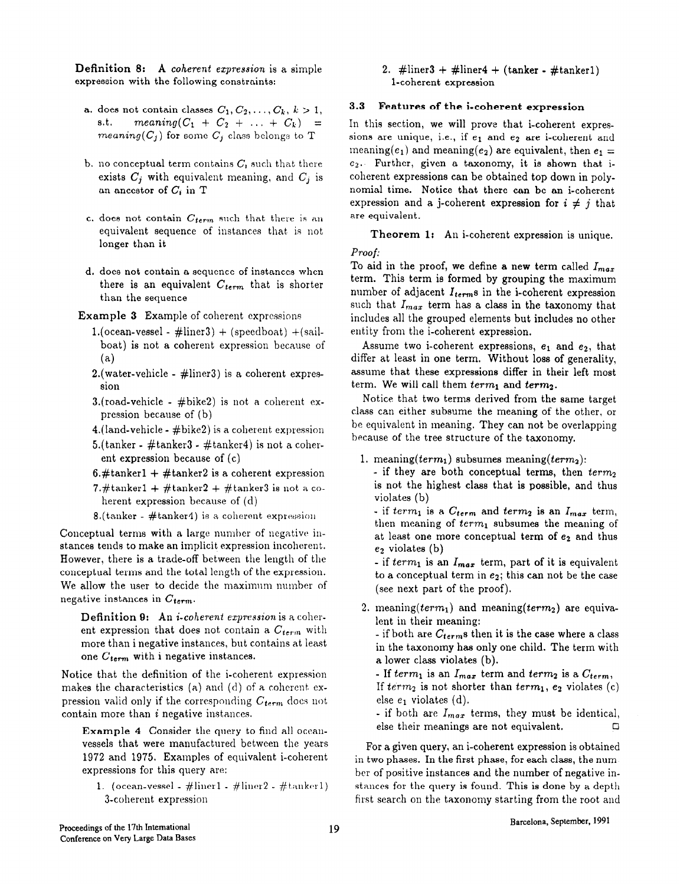**Definition 8:** A coherent expression is a simple 2. #liner3 + #liner4 + (tanker - #tanker1) expression with the following constraints: l-coherent expression

- a. does not contain classes  $C_1, C_2, \ldots, C_k, k > 1$ , s.t.  $meaning(C_1 + C_2 + ... + C_k) =$ meaning( $C_j$ ) for some  $C_j$  class belongs to T
- b. no conceptual term contains  $C_i$  such that there exists  $C_i$  with equivalent meaning, and  $C_i$  is an ancestor of  $C_i$  in T
- c. does not contain  $C_{term}$  such that there is an equivalent sequence of instances that is not longer than it
- d. does not contain a sequence of instances when there is an equivalent  $C_{term}$  that is shorter than the sequence
- Example 3 Example of coherent expressions
	- 1.(ocean-vessel  $\#$ liner3) + (speedboat) + (sailboat) is not a coherent expression because of  $(a)$
	- 2. (water-vehicle  $\#$ liner3) is a coherent expression
	- 3.(road-vehicle  $\#$ bike2) is not a coherent expression because of (b)
	- $4.$ (land-vehicle  $#$ bike2) is a coherent expression
	- 5.(tanker  $\#$ tanker3  $\#$ tanker4) is not a coherent expression because of (c)
	- 6.#tanker1 + #tanker2 is a coherent expression
	- 7.#tanker1 + #tanker2 + #tanker3 is not a coherent expression because of  $(d)$
	- 8.(tanker  $\#$ tanker4) is a coherent expression

Conceptual terms with a large number of negative instances tends to make an implicit expression incoherent. However, there is a trade-off between the length of the conceptual terms and the total length of the expression. We allow the user to decide the maximum number of negative instances in  $C_{term}$ .

Definition 9: An *i-coherent expression* is a coherent expression that does not contain a  $C_{term}$  with more than i negative instances, but contains at least one  $C_{term}$  with i negative instances.

Notice that the definition of the i-coherent expression makes the characteristics (a) and (d) of a coherent expression valid only if the corresponding  $C_{term}$  does not contain more than i negative instances.

Example 4 Consider the query to find all occanvessels that were manufactured between the years 1972 and 1975. Examples of equivalent i-coherent expressions for this query are:

1. (ocean-vessel -  $\#$ liner1 -  $\#$ liner2 -  $\#$ tanker1) 3-coherent expression

#### 3.3 Features of the i-coherent expression

In this section, we will prove that i-coherent expressions are unique, i.e., if  $e_1$  and  $e_2$  are i-coherent and meaning(e<sub>1</sub>) and meaning(e<sub>2</sub>) are equivalent, then  $e_1 =$  $e_2$ . Further, given a taxonomy, it is shown that icoherent expressions can be obtained top down in polynomial time. Notice that there can be an i-coherent expression and a j-coherent expression for  $i \neq j$  that are equivalent.

Theorem 1: An i-coherent expression is unique.

#### Proof:

To aid in the proof, we define a new term called  $I_{max}$ term. This term is formed by grouping the maximum number of adjacent  $I_{term}$ s in the i-coherent expression such that  $I_{max}$  term has a class in the taxonomy that includes all the grouped elements but includes no other entity from the i-coherent expression.

Assume two i-coherent expressions,  $e_1$  and  $e_2$ , that differ at least in one term. Without loss of generality, assume that these expressions differ in their left most term. We will call them  $term_1$  and  $term_2$ .

Notice that two terms derived from the same target class can either subsume the meaning of the other, or be equivalent in meaning. They can not be overlapping because of the tree structure of the taxonomy.

- 1. meaning(term<sub>1</sub>) subsumes meaning(term<sub>2</sub>):
	- if they are both conceptual terms, then  $term<sub>2</sub>$ is not the highest class that is possible, and thus violates (b)

- if term<sub>1</sub> is a  $C_{term}$  and term<sub>2</sub> is an  $I_{max}$  term, then meaning of  $term_1$  subsumes the meaning of at least one more conceptual term of ez and thus  $e_2$  violates (b)

- if  $term_1$  is an  $I_{max}$  term, part of it is equivalent to a conceptual term in  $e_2$ ; this can not be the case (see next part of the proof).

2. meaning( $term_1$ ) and meaning( $term_2$ ) are equivalent in their meaning:

- if both are  $C_{term}$ s then it is the case where a class in the taxonomy has only one child. The term with a lower class violates (b).

- If term<sub>1</sub> is an  $I_{max}$  term and term<sub>2</sub> is a  $C_{term}$ , If  $term_2$  is not shorter than  $term_1$ ,  $e_2$  violates (c) else  $e_1$  violates (d).

- if both are  $I_{max}$  terms, they must be identical, else their meanings are not equivalent.  $\Box$ 

For a given query, an i-coherent expression is obtained in two phases. In the first phase, for each class, the number of positive instances and the number of negative instances for the query is found. This is done by a depth first search on the taxonomy starting from the root and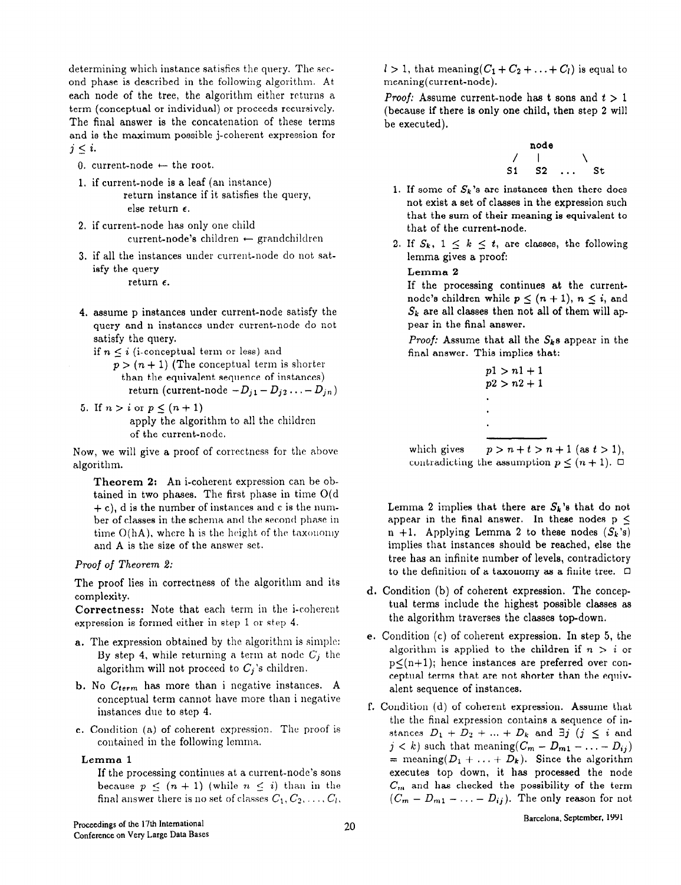determining which instance satisfies the query. The second phase is described in the following algorithm. At each node of the tree, the algorithm either returns a term (conceptual or individual) or proceeds recursively. The final answer is the concatenation of these terms and is the maximum possible j-coherent expression for  $j \leq i$ .

- 0. current-node  $\leftarrow$  the root.
- 1. if current-node is a leaf (an instance) return instance if it satisfies the query, else return  $\epsilon$ .
- 2. if current-node has only one child current-node's children  $\leftarrow$  grandchildren
- 3. if all the instances under current-node do not satisfy the query return  $\epsilon$ .
- 4. assume p instances under current-node satisfy the query and n instances under current-node do not satisfy the query.
	- if  $n \leq i$  (i-conceptual term or less) and
		- $p > (n + 1)$  (The conceptual term is shorter than the equivalent sequence of instances) return (current-node  $-D_{j1}-D_{j2}\ldots - D_{jn}$ )
- 5. If  $n > i$  or  $p \leq (n + 1)$ apply the algorithm to all the children of the current-node.

Now, we will give a proof of correctness for the above algorithm.

Theorem 2: An i-coherent expression can be obtained in two phases. The first phase in time O(d  $+ c$ , d is the number of instances and c is the number of classes in the schema and the second phase in time  $O(hA)$ , where h is the height of the taxonomy and A is the size of the answer set.

# Proof of Theorem 2:

The proof lies in correctness of the algorithm and its complexity.

Correctness: Note that each term in the i-coherent expression is formed either in step 1 or step 4.

- a. The expression obtained by the algorithm is simple: By step 4, while returning a term at node  $C_j$  the algorithm will not proceed to  $C_j$ 's children.
- b. No  $C_{term}$  has more than i negative instances. A conceptual term cannot have more than i negative instances due to step 4.
- c. Condition (a) of coherent expression. The proof is contained in the following lemma.

#### Lemma 1

If the processing continues at a current-node's sons because  $p \leq (n + 1)$  (while  $n \leq i$ ) than in the final answer there is no set of classes  $C_1, C_2, \ldots, C_l$ ,  $l > 1$ , that meaning( $C_1 + C_2 + \ldots + C_l$ ) is equal to meaning(current-node).

*Proof:* Assume current-node has t sons and  $t > 1$ (because if there is only one child, then step 2 will be executed).



- 1. If some of  $S_k$ 's are instances then there does not exist a set of classes in the expression such that the sum of their meaning is equivalent to that of the current-node.
- 2. If  $S_k$ ,  $1 \leq k \leq t$ , are classes, the following lemma gives a proof:

#### Lemma 2

If the processing continues at the currentnode's children while  $p \leq (n+1)$ ,  $n \leq i$ , and  $S_k$  are all classes then not all of them will appear in the final answer.

Proof: Assume that all the  $S_k$ s appear in the final answer. This implies that:

> $p1 > n1 + 1$  $p2 > n2 + 1$

which gives  $p > n+t > n+1$  (as  $t > 1$ ), contradicting the assumption  $p \leq (n+1)$ .  $\Box$ 

Lemma 2 implies that there are  $S_k$ 's that do not appear in the final answer. In these nodes  $p \leq$ n +1. Applying Lemma 2 to these nodes  $(S_k$ 's) implies that instances should be reached, else the tree has an infinite number of levels, contradictory to the definition of a taxonomy as a finite tree.  $\Box$ 

- d. Condition (b) of coherent expression. The conceptual terms include the highest possible classes as the algorithm traverses the classes top-down.
- e. Condition (c) of coherent expression. In step 5, the algorithm is applied to the children if  $n > i$  or  $p<(n+1)$ ; hence instances are preferred over conceptual terms that are not shorter than the equivalent sequence of instances.
- f. Condition (d) of coherent expression. Assume that the the final expression contains a sequence of instances  $D_1 + D_2 + \ldots + D_k$  and  $\exists j \ (j \leq i \text{ and }$  $j < k$ ) such that meaning $(C_m - D_{m1} - \ldots - D_{ij})$ = meaning( $D_1 + \ldots + D_k$ ). Since the algorithm executes top down, it has processed the node  $C_m$  and has checked the possibility of the term  $(C_m - D_{m1} - \ldots - D_{ij})$ . The only reason for not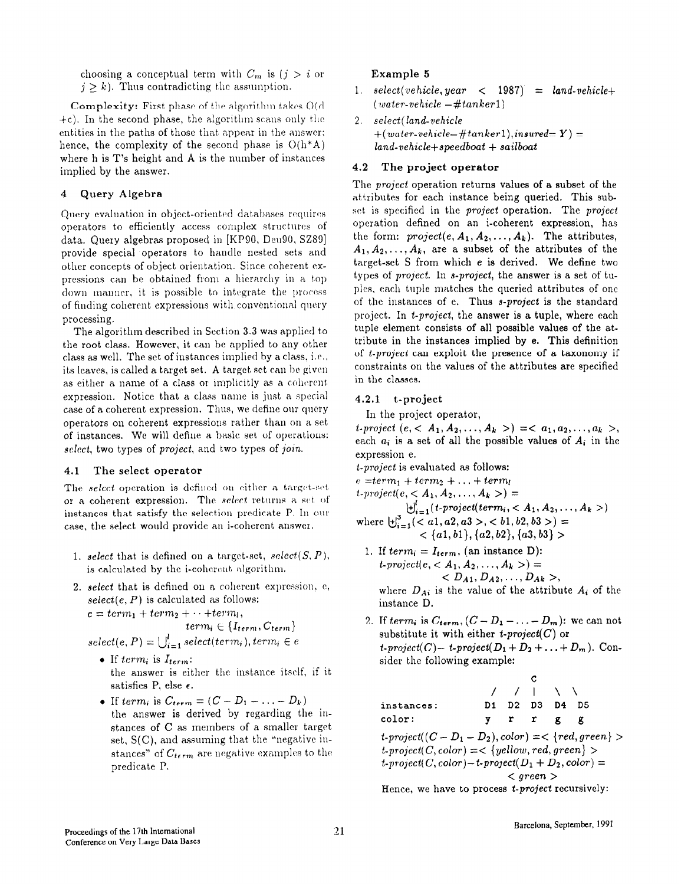choosing a conceptual term with  $C_m$  is  $(j > i)$  or  $j \geq k$ ). Thus contradicting the assumption.

**Complexity:** First phase of the algorithm takes  $O(d)$  $\pm c$ ). In the second phase, the algorithm scans only the entities in the paths of those that appear in the answer; hence, the complexity of the second phase is  $O(h^*A)$ where h is T's height and A is the number of instances implied by the answer.

### 4 Query Algebra

Query evaluation in object-oriented databases requires operators to efficiently access complex structures of data. Query algebras proposed in [KP90, Deu90, SZ89] provide special operators to handle nested sets and other concepts of object orientation. Since coherent cxpressions can be obtained from a hierarchy in a top down manner, it is possible to integrate the process of finding coherent expressions with conventional query processing.

The algorithm described in Section 3.3 was applied to the root class. However, it can be applied to any other class as well. The set of instances implied hy a class, i.e., its leaves, is called a target set. A target set can be given as either a name of a class or implicitly as a coherent. expression. Notice that a class uame is just a special case of a coherent expression. Thus, we define our query operators on coherent expressions rather than on a set of instances. We will define a basic set of operations: select, two types of *project*, and two types of *join*.

#### 4.1 The select operator

The select operation is defined on either a target-set or a coherent expression. The select returns a set of instances that satisfy the selection predicate P. In our case, the select would provide an i-coherent answer.

- 1. select that is defined on a target-set, select(S, P), is calculated by the i-coherent algorithm.
- 2. select that is defined on a coherent expression. e, select(e,  $P$ ) is calculated as follows:

 $e = term_1 + term_2 + \cdots + term_l,$ 

$$
term_i \in \{I_{term}, C_{term}\}
$$

$$
select(e, P) = \bigcup_{i=1}^{l} select(term_i), term_i \in e
$$

- If  $term_i$  is  $I_{term}$ : the answer is either the instance itself, if it satisfies P, else  $\epsilon$ .
- If term<sub>i</sub> is  $C_{term}=(C-D_1-\ldots-D_k)$ the answer is derived by regarding the instances of C as members of a smaller target, set, S(C), and assuming that the "negative instances" of  $C_{term}$  are negative examples to the predicate P.

#### Example 5

- 1. select(vehicle, year  $\langle$  1987) = land-vehicle+  $(water-vehicle -\#tanker1)$
- 2. select( land-vehicle  $+(water\text{-}velocity\text{-}ttanker1),\text{insured}=Y) =$  $land- vehicle+ speedboat + sailboat$

#### 4.2 The project operator

The project operation returns values of a subset of the attributes for each instance being queried. This subset is specified in the project operation. The project operation defined on an i-coherent expression, has the form:  $project(e, A_1, A_2, \ldots, A_k)$ . The attributes,  $A_1, A_2, \ldots, A_k$ , are a subset of the attributes of the target-set S from which e is derived. We define two types of project. In s-project, the answer is a set of tupies, each tuple matches the queried attributes of one of the instances of e. Thus s-project is the standard project. In t-project, the answer is a tuple, where each tuple element consists of all possible values of the attribute in the instances implied by e. This definition of t-project can exploit the presence of a taxonomy if constraints on the values of the attributes are specified in the classes.

#### 4.2.1 t-project

In the project operator,

t-project  $(e, < A_1, A_2, \ldots, A_k) \implies a_1, a_2, \ldots, a_k$ each  $a_i$  is a set of all the possible values of  $A_i$  in the expression e.

t-project is evaluated as follows:

 $e = term_1 + term_2 + ... + term_l$ 

 $t$ -project $(e, < A_1, A_2, \ldots, A_k>) =$ 

- $\bigcup_{i=1}^r (t\text{-}project(term_i,$ where  $\biguplus_{i=1}^{3}$  (< a1, a2, a3 >, < b1, b2, b3 >) =  $\langle \{a1, b1\}, \{a2, b2\}, \{a3, b3\} \rangle$
- 1. If  $term_i = I_{term}$ , (an instance D):  $t\text{-}project(e, ) =$  $< D_{A1}, D_{A2}, \ldots, D_{Ak}$ where  $D_{Ai}$  is the value of the attribute  $A_i$  of the instance D.
- 2. If term, is  $C_{term}$ ,  $(C D_1 ... D_m)$ : we can not substitute it with either *t-project*( $C$ ) or t-project(C)- t-project( $D_1 + D_2 + \ldots + D_m$ ). Consider the following example:

|                                                                 |  |  | / /   \ \      |  |  |
|-----------------------------------------------------------------|--|--|----------------|--|--|
| instances:                                                      |  |  | D1 D2 D3 D4 D5 |  |  |
| color:                                                          |  |  | vrrgg          |  |  |
| $t\text{-}project((C - D_1 - D_2), color) = < \{red, green\} >$ |  |  |                |  |  |

 $t\text{-}project(C, color) = < \{yellow, red, green\} >$  $t$ -project( C, color) –  $t$ -project(  $D_1 + D_2$ , color) =  $\langle$  green  $\rangle$ 

Hence, we have to process t-project recursively: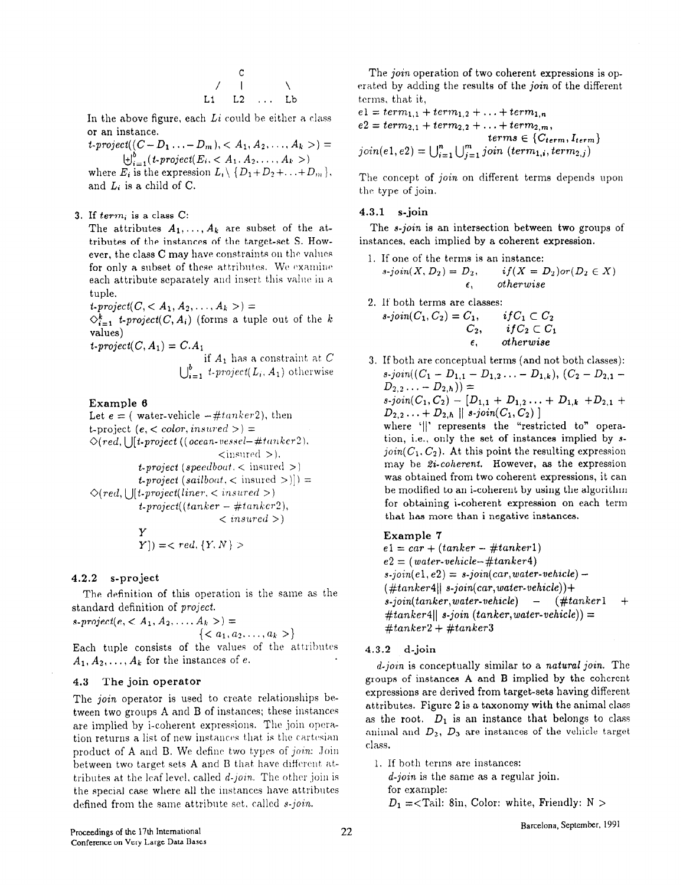$$
\begin{array}{ccccc}\n & & c & & \\
\diagup & & | & & \diagdown \\
L1 & L2 & \dots & Lb & \end{array}
$$

In the above figure, each  $Li$  could be either a class or an instance.

 $t\text{-}project((C-D_1 \ldots -D_m), < A_1, A_2, \ldots, A_k>) =$  $\bigcup_{i=1}^{b} (t\text{-}project(E_i, < A_1, A_2, \ldots, A_k))$ where  $E_i$  is the expression  $L_i \setminus \{D_1+D_2+\ldots+D_m\}$ , and  $L_i$  is a child of C.

3. If  $term_i$  is a class C:

The attributes  $A_1, \ldots, A_k$  are subset of the attributes of the instances of the target-set S. However, the class  $C$  may have constraints on the values for only a subset of these attributes. We examine each attribute separately and insert this value in a tuple.

 $t\text{-}project(C, ) =$ 

 $\Diamond_{i=1}^k$  t-project(C, A<sub>i</sub>) (forms a tuple out of the k values)

 $t\text{-}project(C, A_1) = C.A_1$ 

if 
$$
A_1
$$
 has a constraint at  $C$   
 $\bigcup_{i=1}^{b} t\text{-project}(L_i, A_1)$  otherwise

#### Example 6

Let  $e = ($  water-vehicle  $-\#tanker2$ ), then t-project (e, < color, insured >) =  $\Diamond (red, \bigcup [t\text{-}project ((ocean\text{-}vessel\text{-} \#tanker2)).$  $\langle$  insured  $\rangle$ ). *t*-project (speedbout,  $\langle$  insured  $\rangle$ ) **t**-project (sailboat,  $\langle$  insured  $\rangle$ )) =  $\Diamond (red, \vert \vert [t\text{-project}(line < i\text{-}nsured > 0$  $t$ -project((tanker - #tanker2),  $\langle$  insured  $\rangle$ Y  $Y$ ) = < red, {Y, N} >

#### 4.2.2 s-project

The definition of this operation is the same as the standard definition of project.

 $s\text{-}project(e, ) =$  $\{\}\$ 

Each tuple consists of the values of the attributes  $A_1, A_2, \ldots, A_k$  for the instances of e.

#### 4.3 The join operator

The *join* operator is used to create relationships between two groups A and B of instances; these instances are implied by i-coherent expressions. The join operation returns a list of new instances that is the cartesian product of A and B. We define two types of join: Join between two target sets  $A$  and  $B$  that have different attributes at the leaf level, called  $d$ -join. The other join is the special case where all the instances have attributes defined from the same attribute set, called  $s$ -join.

The join operation of two coherent expressions is operated by adding the results of the join of the different terms, that it,

$$
e1 = term_{1,1} + term_{1,2} + ... + term_{1,n}
$$
  
\n
$$
e2 = term_{2,1} + term_{2,2} + ... + term_{2,m},
$$
  
\n
$$
terms \in \{Cterm, I_{term}\}
$$
  
\n
$$
join(e1, e2) = \bigcup_{i=1}^{n} \bigcup_{j=1}^{m} join (term_{1,i}, term_{2,j})
$$

The concept of join on different terms depends upon the type of join.

#### 4.3.1 s-join

The *s-join* is an intersection between two groups of instances, each implied by a coherent expression.

1. If one of the terms is an instance:  
\n
$$
s\text{-}join(X, D_2) = D_2, \qquad if(X = D_2) \text{ or } (D_2 \in X)
$$
\n
$$
\epsilon, \qquad otherwise
$$

2. If both terms are classes:

\n
$$
s\text{-}join(C_1, C_2) = C_1, \qquad ifC_1 \subset C_2
$$
\n
$$
C_2, \qquad ifC_2 \subset C_1
$$
\n
$$
\epsilon, \qquad otherwise
$$

3. If both are conceptual terms (and not both classes):  $s\text{-}join((C_1 - D_{1,1} - D_{1,2} \ldots - D_{1,k}), (C_2 - D_{2,1} D_{2,2} \ldots - D_{2,h}) =$  $s\text{-}join(C_1,C_2) - [D_{1,1} + D_{1,2} \ldots + D_{1,k} + D_{2,1} +$  $D_{2,2} \ldots + D_{2,h} \parallel s\text{-}join(C_1, C_2) \parallel$ 

where '||' represents the "restricted to" operation, i.e., only the set of instances implied by s $join(C_1, C_2)$ . At this point the resulting expression may be 2i-coherent. However, as the expression was obtained from two coherent expressions, it can be modified to an i-coherent by using the algorithm for obtaining i-coherent expression on each term that has more than i negative instances.

#### Example 7

 $e1 = car + (tanker - #tanker1)$  $e2 = (water- vehicle - \#tanker4)$  $s\text{-}join(e1,e2) = s\text{-}join(car,water-vehicle) (\#tanker4|| s\text{-}join(car,water\text{-}vehicle)) +$  $s\text{-}join(tanker,water\text{-}which)$  -  $(\#tanker1 +$  $#tanker4||$  s-join (tanker,water-vehicle)) =  $#tanker2 + #tanker3$ 

### 4.3.2 d-join

 $d$ -join is conceptually similar to a natural join. The groups of instances A and B implied by the coherent expressions are derived from target-sets having different attributes. Figure 2 is a taxonomy with the animal class as the root.  $D_1$  is an instance that belongs to class animal and  $D_2$ ,  $D_3$  are instances of the vehicle target class.

1. If both terms are instances:

d-join is the same as a regular join.

for example:  $D_1 = \text{}[T]$  =  $\text{[T]}$  =  $\text{[T]}$  =  $\text{[T]}$  =  $\text{[T]}$  =  $\text{[T]}$  =  $\text{[T]}$  =  $\text{[T]}$  =  $\text{[T]}$  =  $\text{[T]}$  =  $\text{[T]}$  =  $\text{[T]}$  =  $\text{[T]}$  =  $\text{[T]}$  =  $\text{[T]}$  =  $\text{[T]}$  =  $\text{[T]}$  =  $\text{[T]}$  =  $\text{[T]}$  =  $\text{[T]}$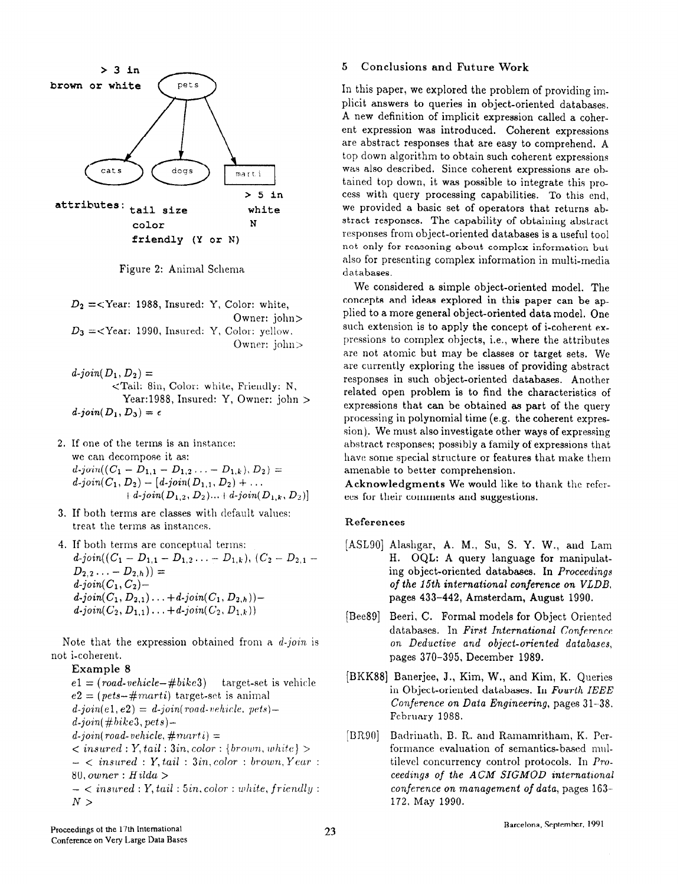

Figure 2: Animal Schema

 $D_2 = \langle \text{Year: } 1988, \text{ Insured: } Y, \text{Color: } \text{white},$ Owner: john>  $D_3 = \lt$ Year: 1990, Insured: Y, Color: yellow. Owner: john>

 $d\text{-}join(D_1, D_2) =$ <Tail: 8in, Color: white, Friendly: N, Year:1988, Insured: Y, Owner: john >  $d\text{-}join(D_1,D_3) = \epsilon$ 

- 2. If one of the terms is an instance: we can decompose it as:  $d\text{-}join((C_1 - D_{1,1} - D_{1,2}, \ldots - D_{1,k}), D_2) =$  $d\text{-}join(C_1, D_2) - [d\text{-}join(D_{1,1}, D_2) + \dots]$  $+ d$ -join $(D_{1,2}, D_2) ... + d$ -join $(D_{1,k}, D_2)$ ]
- 3. If both terms are classes with default values: treat the terms as instances.
- 4. If both terms are conceptual terms:  $d\text{-}join((C_1 - D_{1,1} - D_{1,2} \ldots - D_{1,k}), (C_2 - D_{2,1} D_{2,2} \ldots - D_{2,h})$ ) =  $d$ -join $(C_1, C_2)$   $d$ -join $(C_1, D_{2,1}) \ldots + d$ -join $(C_1, D_{2,h})$ ) $d\text{-}join(C_2, D_{1,1}) \ldots + d\text{-}join(C_2, D_{1,k}))$

Note that the expression obtained from a  $d$ -join is not i-coherent.

# Example 8

 $e1 = (road\text{-}ychicle-\#bike3)$  target-set is vehicle  $e2 = (pets - \#marti)$  target-set is animal  $d\text{-}join(e1, e2) = d\text{-}join(root, pets)$  $d$ -join( $#bike3, pets$ ) $d$ -join( road- vehicle,  $\#marti) =$  $\langle$  insured : Y, tail : 3in, color : { brown, white} >  $-$  < insured : Y, tail : 3in, color : brown, Year : 80, owner : Hilda  $>$  $-$  < insured : Y, tail : 5in, color : white, friendly :  $N>$ 

### 5 Conclusions and Future Work

In this paper, we explored the problem of providing implicit answers to queries in object-oriented databases. A new definition of implicit expression called a coherent expression was introduced. Coherent expressions are abstract responses that are easy to comprehend. A top down algorithm to obtain such coherent expressions was also described. Since coherent expressions are obtained top down, it was possible to integrate this process with query processing capabilities. To this end, we provided a basic set of operators that returns abstract responses. The capability of obtaining abstract responses from object-oriented databases is a useful tool not only for reasoning about complex information but also for presenting complex information in multi-media databases.

We considered a simple object-oriented model. The concepts and ideas explored in this paper can be applied to a more general object-oriented data model. One such extension is to apply the concept of i-coherent expressions to complex objects, i.e., where the attributes are not atomic but may be classes or target sets. We are currently exploring the issues of providing abstract responses in such object-oriented databases. Another related open problem is to find the characteristics of expressions that can be obtained as part of the query processing in polynomial time (e.g. the coherent expression). We must also investigate other ways of expressing abstract responses; possibly a family of expressions that have some special structure or features that make them amenable to better comprehension.

Acknowledgments We would like to thank the referees for their comments and suggestions.

#### References

- [ASL90] Alashgar, A. M., Su, S. Y. W., and Lam H. OQL: A query language for manipulating object-oriented databases. In Proceedings of the 15th international conference on VLDB, pages 433-442, Amsterdam, August 1990.
- [Bee891 Beeri, C. Formal models for Object Oriented databases. In First International Conference on Deductive and object-oriented databases. pages 370-395, December 1989.
- [BKK88] Banerjee, J., Kim, W., and Kim, K. Queries in Object-oriented databases. In Fourth IEEE Conference on Data Engineering, pages 31-38. February 1988.
- [BROO] Badrinath, B. R. and Ramamritham, K. Pcrformance evaluation of semantics-based multilevel concurrency control protocols. In Proceedings of the ACM SIGMOD international conference on management of data, pages 163- 172, May 1990.